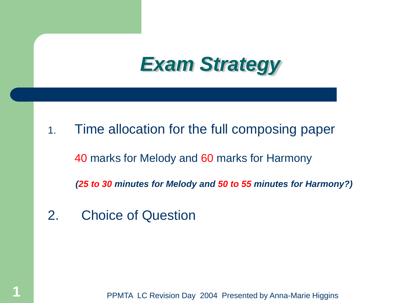## *Exam Strategy*

- 1. Time allocation for the full composing paper 40 marks for Melody and 60 marks for Harmony  *(25 to 30 minutes for Melody and 50 to 55 minutes for Harmony?)*
- 2. Choice of Question

PPMTA LC Revision Day 2004 Presented by Anna-Marie Higgins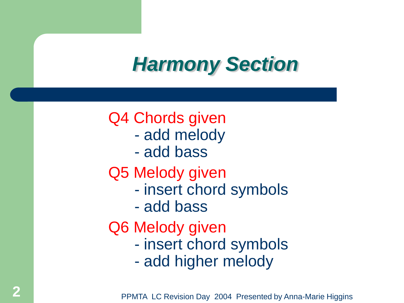# *Harmony Section*

## Q4 Chords given

- add melody
- add bass

#### Q5 Melody given

- insert chord symbols
- add bass

### Q6 Melody given

- insert chord symbols
- add higher melody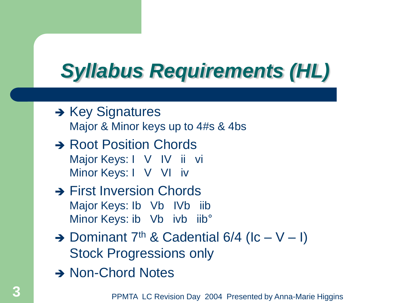# *Syllabus Requirements (HL)*

- $\rightarrow$  Key Signatures Major & Minor keys up to 4#s & 4bs
- **→ Root Position Chords** Major Keys: I V IV ii vi Minor Keys: I V VI iv
- **→ First Inversion Chords** Major Keys: Ib Vb IVb iib Minor Keys: ib Vb ivb iib°
- $\rightarrow$  Dominant 7<sup>th</sup> & Cadential 6/4 (Ic V I) Stock Progressions only
- → Non-Chord Notes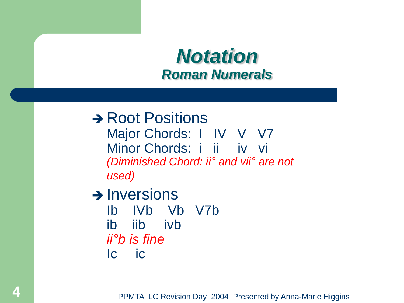#### *Notation Roman Numerals*

**→ Root Positions** Major Chords: I IV V V7 Minor Chords: i ii iv vi *(Diminished Chord: ii° and vii° are not used)*

 $\rightarrow$  Inversions

Ib IVb Vb V7b ib iib ivb *ii°b is fine* Ic ic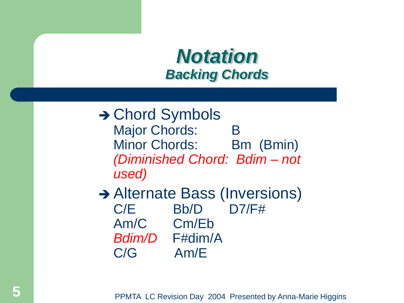### *Notation Backing Chords*

- **→ Chord Symbols** Major Chords: B Minor Chords: Bm (Bmin) *(Diminished Chord: Bdim – not used)*
- **→ Alternate Bass (Inversions)** C/E Bb/D D7/F# Am/C Cm/Eb *Bdim/D* F#dim/A C/G Am/E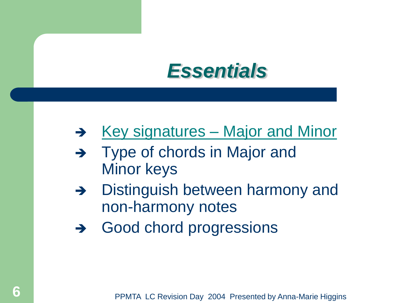

- $\rightarrow$  [Key signatures –](http://www.clubi.ie/amhiggins/18_keys.htm) [Major and Minor](http://www.clubi.ie/amhiggins/18_keys.htm)
- → Type of chords in Major and Minor keys
- $\rightarrow$  Distinguish between harmony and non-harmony notes
- → Good chord progressions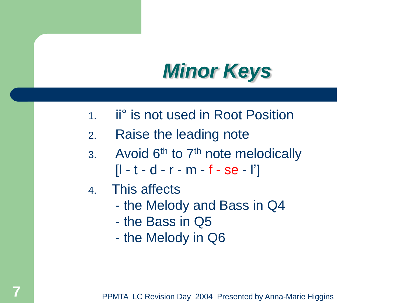# *Minor Keys*

- 1. ii° is not used in Root Position
- 2. Raise the leading note
- 3. Avoid  $6<sup>th</sup>$  to  $7<sup>th</sup>$  note melodically  $[1 - t - d - r - m - f - se - l']$
- 4. This affects
	- the Melody and Bass in Q4
	- the Bass in Q5
	- the Melody in Q6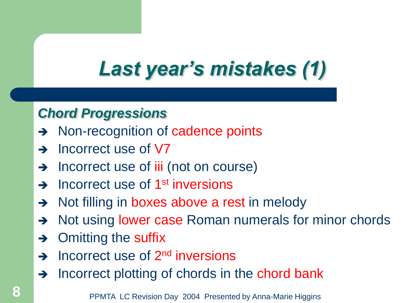# *Last year's mistakes (1)*

#### *Chord Progressions*

- → Non-recognition of cadence points
- $\rightarrow$  Incorrect use of V7
- $\rightarrow$  Incorrect use of iii (not on course)
- A Incorrect use of 1<sup>st</sup> inversions
- $\rightarrow$  Not filling in boxes above a rest in melody
- A Not using lower case Roman numerals for minor chords
- $\rightarrow$  Omitting the suffix
- $\rightarrow$  Incorrect use of 2<sup>nd</sup> inversions
- $\rightarrow$  Incorrect plotting of chords in the chord bank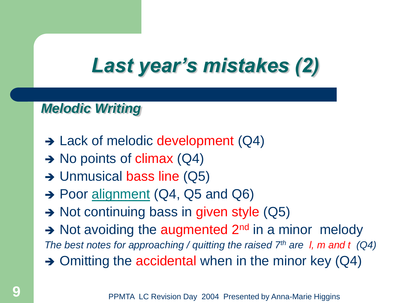# *Last year's mistakes (2)*

#### *Melodic Writing*

- $\rightarrow$  Lack of melodic development (Q4)
- $\rightarrow$  No points of climax (Q4)
- $\rightarrow$  Unmusical bass line (Q5)
- → Poor [alignment](http://www.clubi.ie/amhiggins/Alignment.htm) (Q4, Q5 and Q6)
- $\rightarrow$  Not continuing bass in given style (Q5)
- $\rightarrow$  Not avoiding the augmented 2<sup>nd</sup> in a minor melody
- *The best notes for approaching / quitting the raised 7th are l, m and t (Q4)*
- $\rightarrow$  Omitting the accidental when in the minor key (Q4)